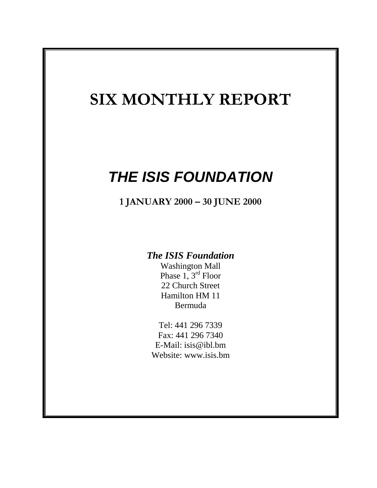# **SIX MONTHLY REPORT**

# *THE ISIS FOUNDATION*

**1 JANUARY 2000 – 30 JUNE 2000**

# *The ISIS Foundation*

Washington Mall Phase  $1, 3^{rd}$  Floor 22 Church Street Hamilton HM 11 Bermuda

Tel: 441 296 7339 Fax: 441 296 7340 E-Mail: isis@ibl.bm Website: www.isis.bm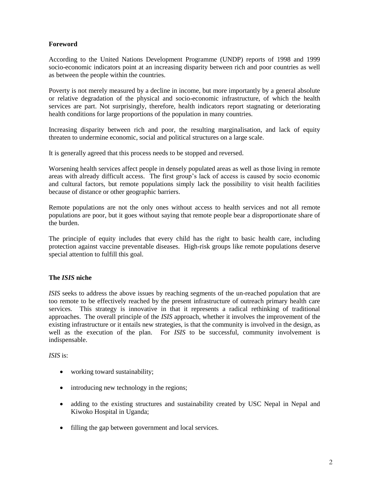# **Foreword**

According to the United Nations Development Programme (UNDP) reports of 1998 and 1999 socio-economic indicators point at an increasing disparity between rich and poor countries as well as between the people within the countries.

Poverty is not merely measured by a decline in income, but more importantly by a general absolute or relative degradation of the physical and socio-economic infrastructure, of which the health services are part. Not surprisingly, therefore, health indicators report stagnating or deteriorating health conditions for large proportions of the population in many countries.

Increasing disparity between rich and poor, the resulting marginalisation, and lack of equity threaten to undermine economic, social and political structures on a large scale.

It is generally agreed that this process needs to be stopped and reversed.

Worsening health services affect people in densely populated areas as well as those living in remote areas with already difficult access. The first group's lack of access is caused by socio economic and cultural factors, but remote populations simply lack the possibility to visit health facilities because of distance or other geographic barriers.

Remote populations are not the only ones without access to health services and not all remote populations are poor, but it goes without saying that remote people bear a disproportionate share of the burden.

The principle of equity includes that every child has the right to basic health care, including protection against vaccine preventable diseases. High-risk groups like remote populations deserve special attention to fulfill this goal.

#### **The** *ISIS* **niche**

*ISIS* seeks to address the above issues by reaching segments of the un-reached population that are too remote to be effectively reached by the present infrastructure of outreach primary health care services. This strategy is innovative in that it represents a radical rethinking of traditional approaches. The overall principle of the *ISIS* approach, whether it involves the improvement of the existing infrastructure or it entails new strategies, is that the community is involved in the design, as well as the execution of the plan. For *ISIS* to be successful, community involvement is indispensable.

*ISIS* is:

- working toward sustainability;
- introducing new technology in the regions;
- adding to the existing structures and sustainability created by USC Nepal in Nepal and Kiwoko Hospital in Uganda;
- filling the gap between government and local services.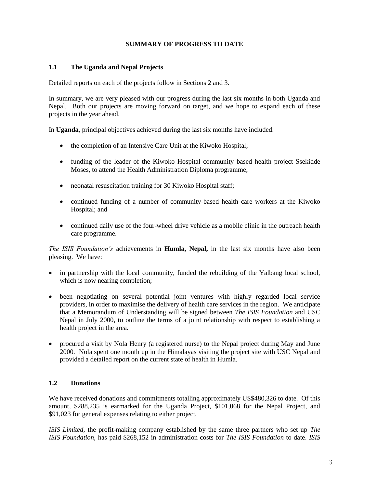## **SUMMARY OF PROGRESS TO DATE**

#### **1.1 The Uganda and Nepal Projects**

Detailed reports on each of the projects follow in Sections 2 and 3.

In summary, we are very pleased with our progress during the last six months in both Uganda and Nepal. Both our projects are moving forward on target, and we hope to expand each of these projects in the year ahead.

In **Uganda**, principal objectives achieved during the last six months have included:

- the completion of an Intensive Care Unit at the Kiwoko Hospital;
- funding of the leader of the Kiwoko Hospital community based health project Ssekidde Moses, to attend the Health Administration Diploma programme;
- neonatal resuscitation training for 30 Kiwoko Hospital staff;
- continued funding of a number of community-based health care workers at the Kiwoko Hospital; and
- continued daily use of the four-wheel drive vehicle as a mobile clinic in the outreach health care programme.

*The ISIS Foundation's* achievements in **Humla, Nepal,** in the last six months have also been pleasing. We have:

- in partnership with the local community, funded the rebuilding of the Yalbang local school, which is now nearing completion;
- been negotiating on several potential joint ventures with highly regarded local service providers, in order to maximise the delivery of health care services in the region. We anticipate that a Memorandum of Understanding will be signed between *The ISIS Foundation* and USC Nepal in July 2000, to outline the terms of a joint relationship with respect to establishing a health project in the area.
- procured a visit by Nola Henry (a registered nurse) to the Nepal project during May and June 2000. Nola spent one month up in the Himalayas visiting the project site with USC Nepal and provided a detailed report on the current state of health in Humla.

# **1.2 Donations**

We have received donations and commitments totalling approximately US\$480,326 to date. Of this amount, \$288,235 is earmarked for the Uganda Project, \$101,068 for the Nepal Project, and \$91,023 for general expenses relating to either project.

*ISIS Limited*, the profit-making company established by the same three partners who set up *The ISIS Foundation*, has paid \$268,152 in administration costs for *The ISIS Foundation* to date. *ISIS*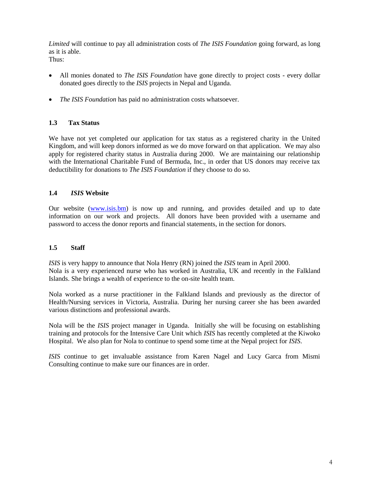*Limited* will continue to pay all administration costs of *The ISIS Foundation* going forward, as long as it is able.

Thus:

- All monies donated to *The ISIS Foundation* have gone directly to project costs every dollar donated goes directly to the *ISIS* projects in Nepal and Uganda.
- *The ISIS Foundation* has paid no administration costs whatsoever.

# **1.3 Tax Status**

We have not yet completed our application for tax status as a registered charity in the United Kingdom, and will keep donors informed as we do move forward on that application. We may also apply for registered charity status in Australia during 2000. We are maintaining our relationship with the International Charitable Fund of Bermuda, Inc., in order that US donors may receive tax deductibility for donations to *The ISIS Foundation* if they choose to do so.

# **1.4** *ISIS* **Website**

Our website [\(www.isis.bm\)](http://www.isis.bm/) is now up and running, and provides detailed and up to date information on our work and projects. All donors have been provided with a username and password to access the donor reports and financial statements, in the section for donors.

#### **1.5 Staff**

*ISIS* is very happy to announce that Nola Henry (RN) joined the *ISIS* team in April 2000. Nola is a very experienced nurse who has worked in Australia, UK and recently in the Falkland Islands. She brings a wealth of experience to the on-site health team.

Nola worked as a nurse practitioner in the Falkland Islands and previously as the director of Health/Nursing services in Victoria, Australia*.* During her nursing career she has been awarded various distinctions and professional awards.

Nola will be the *ISIS* project manager in Uganda. Initially she will be focusing on establishing training and protocols for the Intensive Care Unit which *ISIS* has recently completed at the Kiwoko Hospital. We also plan for Nola to continue to spend some time at the Nepal project for *ISIS*.

*ISIS* continue to get invaluable assistance from Karen Nagel and Lucy Garca from Mismi Consulting continue to make sure our finances are in order.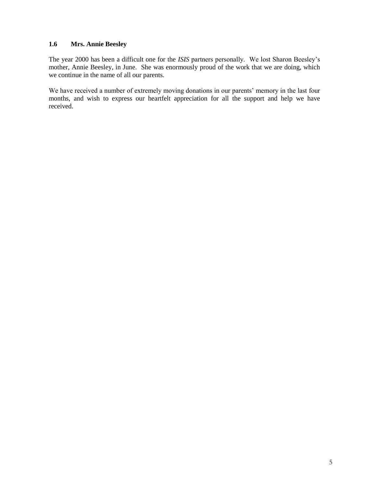# **1.6 Mrs. Annie Beesley**

The year 2000 has been a difficult one for the *ISIS* partners personally. We lost Sharon Beesley's mother, Annie Beesley, in June. She was enormously proud of the work that we are doing, which we continue in the name of all our parents.

We have received a number of extremely moving donations in our parents' memory in the last four months, and wish to express our heartfelt appreciation for all the support and help we have received.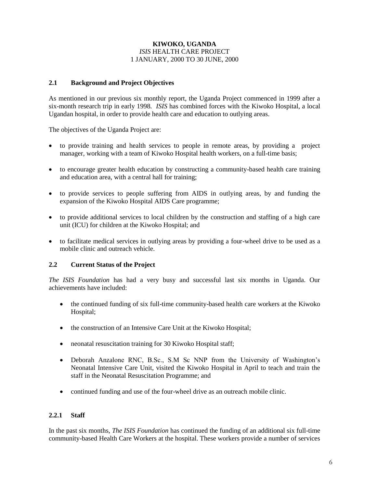#### **KIWOKO, UGANDA** *ISIS* HEALTH CARE PROJECT 1 JANUARY, 2000 TO 30 JUNE, 2000

#### **2.1 Background and Project Objectives**

As mentioned in our previous six monthly report, the Uganda Project commenced in 1999 after a six-month research trip in early 1998. *ISIS* has combined forces with the Kiwoko Hospital, a local Ugandan hospital, in order to provide health care and education to outlying areas.

The objectives of the Uganda Project are:

- to provide training and health services to people in remote areas, by providing a project manager, working with a team of Kiwoko Hospital health workers, on a full-time basis;
- to encourage greater health education by constructing a community-based health care training and education area, with a central hall for training;
- to provide services to people suffering from AIDS in outlying areas, by and funding the expansion of the Kiwoko Hospital AIDS Care programme;
- to provide additional services to local children by the construction and staffing of a high care unit (ICU) for children at the Kiwoko Hospital; and
- to facilitate medical services in outlying areas by providing a four-wheel drive to be used as a mobile clinic and outreach vehicle.

# **2.2 Current Status of the Project**

*The ISIS Foundation* has had a very busy and successful last six months in Uganda. Our achievements have included:

- the continued funding of six full-time community-based health care workers at the Kiwoko Hospital;
- the construction of an Intensive Care Unit at the Kiwoko Hospital;
- neonatal resuscitation training for 30 Kiwoko Hospital staff;
- Deborah Anzalone RNC, B.Sc., S.M Sc NNP from the University of Washington's Neonatal Intensive Care Unit, visited the Kiwoko Hospital in April to teach and train the staff in the Neonatal Resuscitation Programme; and
- continued funding and use of the four-wheel drive as an outreach mobile clinic.

# **2.2.1 Staff**

In the past six months, *The ISIS Foundation* has continued the funding of an additional six full-time community-based Health Care Workers at the hospital. These workers provide a number of services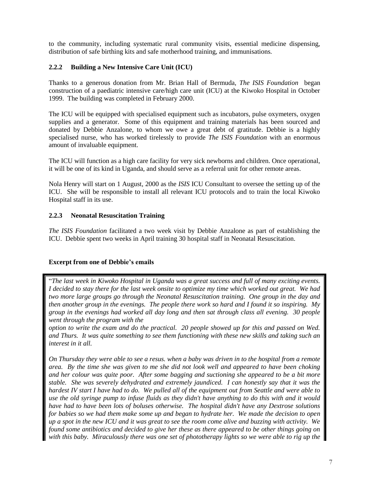to the community, including systematic rural community visits, essential medicine dispensing, distribution of safe birthing kits and safe motherhood training, and immunisations.

# **2.2.2 Building a New Intensive Care Unit (ICU)**

Thanks to a generous donation from Mr. Brian Hall of Bermuda, *The ISIS Foundation* began construction of a paediatric intensive care/high care unit (ICU) at the Kiwoko Hospital in October 1999. The building was completed in February 2000.

The ICU will be equipped with specialised equipment such as incubators, pulse oxymeters, oxygen supplies and a generator. Some of this equipment and training materials has been sourced and donated by Debbie Anzalone, to whom we owe a great debt of gratitude. Debbie is a highly specialised nurse, who has worked tirelessly to provide *The ISIS Foundation* with an enormous amount of invaluable equipment.

The ICU will function as a high care facility for very sick newborns and children. Once operational, it will be one of its kind in Uganda, and should serve as a referral unit for other remote areas.

Nola Henry will start on 1 August, 2000 as the *ISIS* ICU Consultant to oversee the setting up of the ICU. She will be responsible to install all relevant ICU protocols and to train the local Kiwoko Hospital staff in its use.

# **2.2.3 Neonatal Resuscitation Training**

*The ISIS Foundation* facilitated a two week visit by Debbie Anzalone as part of establishing the ICU. Debbie spent two weeks in April training 30 hospital staff in Neonatal Resuscitation.

#### **Excerpt from one of Debbie's emails**

"*The last week in Kiwoko Hospital in Uganda was a great success and full of many exciting events. I decided to stay there for the last week onsite to optimize my time which worked out great. We had two more large groups go through the Neonatal Resuscitation training. One group in the day and then another group in the evenings. The people there work so hard and I found it so inspiring. My group in the evenings had worked all day long and then sat through class all evening. 30 people went through the program with the*

*option to write the exam and do the practical. 20 people showed up for this and passed on Wed. and Thurs. It was quite something to see them functioning with these new skills and taking such an interest in it all.*

*On Thursday they were able to see a resus. when a baby was driven in to the hospital from a remote area. By the time she was given to me she did not look well and appeared to have been choking and her colour was quite poor. After some bagging and suctioning she appeared to be a bit more stable. She was severely dehydrated and extremely jaundiced. I can honestly say that it was the hardest IV start I have had to do. We pulled all of the equipment out from Seattle and were able to use the old syringe pump to infuse fluids as they didn't have anything to do this with and it would have had to have been lots of boluses otherwise. The hospital didn't have any Dextrose solutions for babies so we had them make some up and began to hydrate her. We made the decision to open up a spot in the new ICU and it was great to see the room come alive and buzzing with activity. We found some antibiotics and decided to give her these as there appeared to be other things going on with this baby. Miraculously there was one set of phototherapy lights so we were able to rig up the*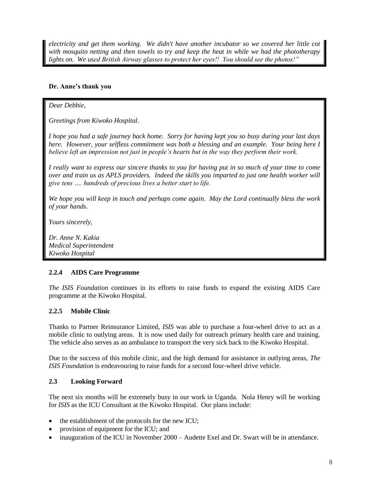*electricity and get them working. We didn't have another incubator so we covered her little cot with mosquito netting and then towels to try and keep the heat in while we had the phototherapy lights on. We used British Airway glasses to protect her eyes!! You should see the photos!"*

# **Dr. Anne's thank you**

*Dear Debbie,*

*Greetings from Kiwoko Hospital.*

*I hope you had a safe journey back home. Sorry for having kept you so busy during your last days here. However, your selfless commitment was both a blessing and an example. Your being here I believe left an impression not just in people's hearts but in the way they perform their work.*

*I really want to express our sincere thanks to you for having put in so much of your time to come over and train us as APLS providers. Indeed the skills you imparted to just one health worker will give tens …. hundreds of precious lives a better start to life.*

*We hope you will keep in touch and perhaps come again. May the Lord continually bless the work of your hands.*

*Yours sincerely,*

*Dr. Anne N. Kakia Medical Superintendent Kiwoko Hospital*

#### **2.2.4 AIDS Care Programme**

*The ISIS Foundation* continues in its efforts to raise funds to expand the existing AIDS Care programme at the Kiwoko Hospital.

#### **2.2.5 Mobile Clinic**

Thanks to Partner Reinsurance Limited, *ISIS* was able to purchase a four-wheel drive to act as a mobile clinic to outlying areas. It is now used daily for outreach primary health care and training. The vehicle also serves as an ambulance to transport the very sick back to the Kiwoko Hospital.

Due to the success of this mobile clinic, and the high demand for assistance in outlying areas, *The ISIS Foundation* is endeavouring to raise funds for a second four-wheel drive vehicle.

#### **2.3 Looking Forward**

The next six months will be extremely busy in our work in Uganda. Nola Henry will be working for *ISIS* as the ICU Consultant at the Kiwoko Hospital. Our plans include:

- $\bullet$  the establishment of the protocols for the new ICU;
- provision of equipment for the ICU; and
- inauguration of the ICU in November 2000 Audette Exel and Dr. Swart will be in attendance.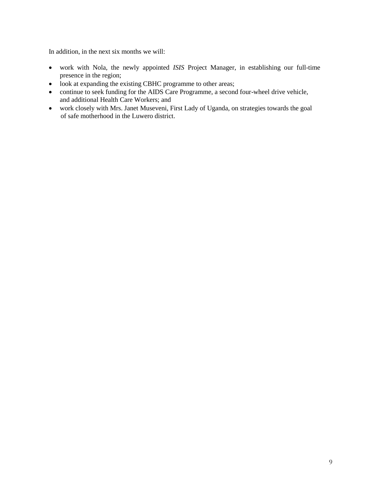In addition, in the next six months we will:

- work with Nola, the newly appointed *ISIS* Project Manager, in establishing our full-time presence in the region;
- look at expanding the existing CBHC programme to other areas;
- continue to seek funding for the AIDS Care Programme, a second four-wheel drive vehicle, and additional Health Care Workers; and
- work closely with Mrs. Janet Museveni, First Lady of Uganda, on strategies towards the goal of safe motherhood in the Luwero district.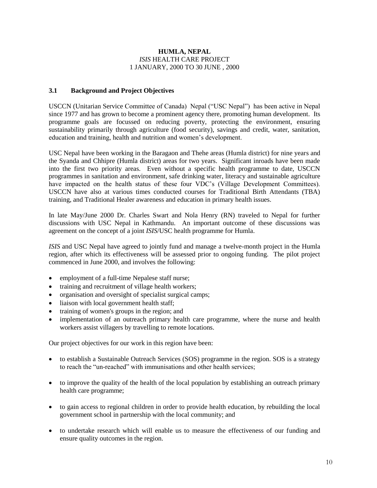#### **HUMLA, NEPAL** *ISIS* HEALTH CARE PROJECT 1 JANUARY, 2000 TO 30 JUNE , 2000

#### **3.1 Background and Project Objectives**

USCCN (Unitarian Service Committee of Canada) Nepal ("USC Nepal") has been active in Nepal since 1977 and has grown to become a prominent agency there, promoting human development. Its programme goals are focussed on reducing poverty, protecting the environment, ensuring sustainability primarily through agriculture (food security), savings and credit, water, sanitation, education and training, health and nutrition and women's development.

USC Nepal have been working in the Baragaon and Thehe areas (Humla district) for nine years and the Syanda and Chhipre (Humla district) areas for two years. Significant inroads have been made into the first two priority areas. Even without a specific health programme to date, USCCN programmes in sanitation and environment, safe drinking water, literacy and sustainable agriculture have impacted on the health status of these four VDC's (Village Development Committees). USCCN have also at various times conducted courses for Traditional Birth Attendants (TBA) training, and Traditional Healer awareness and education in primary health issues.

In late May/June 2000 Dr. Charles Swart and Nola Henry (RN) traveled to Nepal for further discussions with USC Nepal in Kathmandu. An important outcome of these discussions was agreement on the concept of a joint *ISIS*/USC health programme for Humla.

*ISIS* and USC Nepal have agreed to jointly fund and manage a twelve-month project in the Humla region, after which its effectiveness will be assessed prior to ongoing funding. The pilot project commenced in June 2000, and involves the following:

- employment of a full-time Nepalese staff nurse;
- training and recruitment of village health workers;
- organisation and oversight of specialist surgical camps;
- liaison with local government health staff;
- training of women's groups in the region; and
- implementation of an outreach primary health care programme, where the nurse and health workers assist villagers by travelling to remote locations.

Our project objectives for our work in this region have been:

- to establish a Sustainable Outreach Services (SOS) programme in the region. SOS is a strategy to reach the "un-reached" with immunisations and other health services;
- to improve the quality of the health of the local population by establishing an outreach primary health care programme;
- to gain access to regional children in order to provide health education, by rebuilding the local government school in partnership with the local community; and
- to undertake research which will enable us to measure the effectiveness of our funding and ensure quality outcomes in the region.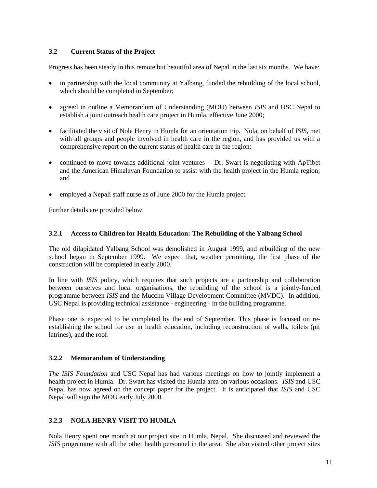# **3.2 Current Status of the Project**

Progress has been steady in this remote but beautiful area of Nepal in the last six months. We have:

- in partnership with the local community at Yalbang, funded the rebuilding of the local school, which should be completed in September;
- agreed in outline a Memorandum of Understanding (MOU) between *ISIS* and USC Nepal to establish a joint outreach health care project in Humla, effective June 2000;
- facilitated the visit of Nola Henry in Humla for an orientation trip. Nola, on behalf of *ISIS,* met with all groups and people involved in health care in the region, and has provided us with a comprehensive report on the current status of health care in the region;
- continued to move towards additional joint ventures Dr. Swart is negotiating with ApTibet and the American Himalayan Foundation to assist with the health project in the Humla region; and
- employed a Nepali staff nurse as of June 2000 for the Humla project.

Further details are provided below.

#### **3.2.1 Access to Children for Health Education: The Rebuilding of the Yalbang School**

The old dilapidated Yalbang School was demolished in August 1999, and rebuilding of the new school began in September 1999. We expect that, weather permitting, the first phase of the construction will be completed in early 2000.

In line with *ISIS* policy, which requires that such projects are a partnership and collaboration between ourselves and local organisations, the rebuilding of the school is a jointly-funded programme between *ISIS* and the Mucchu Village Development Committee (MVDC). In addition, USC Nepal is providing technical assistance - engineering - in the building programme.

Phase one is expected to be completed by the end of September, This phase is focused on reestablishing the school for use in health education, including reconstruction of walls, toilets (pit latrines), and the roof.

#### **3.2.2 Memorandum of Understanding**

*The ISIS Foundation* and USC Nepal has had various meetings on how to jointly implement a health project in Humla. Dr. Swart has visited the Humla area on various occasions. *ISIS* and USC Nepal has now agreed on the concept paper for the project. It is anticipated that *ISIS* and USC Nepal will sign the MOU early July 2000.

#### **3.2.3 NOLA HENRY VISIT TO HUMLA**

Nola Henry spent one month at our project site in Humla, Nepal. She discussed and reviewed the *ISIS* programme with all the other health personnel in the area. She also visited other project sites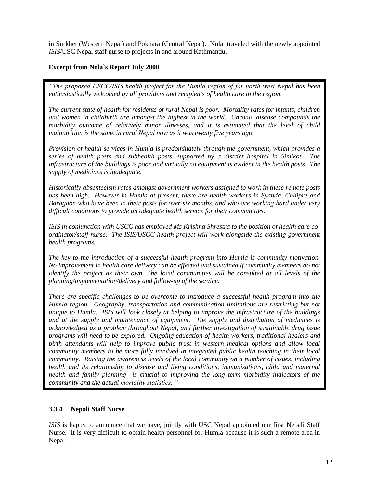in Surkhet (Western Nepal) and Pokhara (Central Nepal). Nola traveled with the newly appointed *ISIS*/USC Nepal staff nurse to projects in and around Kathmandu.

# **Excerpt from Nola`s Report July 2000**

*"The proposed USCC/ISIS health project for the Humla region of far north west Nepal has been enthusiastically welcomed by all providers and recipients of health care in the region.*

*The current state of health for residents of rural Nepal is poor. Mortality rates for infants, children and women in childbirth are amongst the highest in the world. Chronic disease compounds the morbidity outcome of relatively minor illnesses, and it is estimated that the level of child malnutrition is the same in rural Nepal now as it was twenty five years ago.*

*Provision of health services in Humla is predominately through the government, which provides a series of health posts and subhealth posts, supported by a district hospital in Simikot. The infrastructure of the buildings is poor and virtually no equipment is evident in the health posts. The supply of medicines is inadequate.*

*Historically absenteeism rates amongst government workers assigned to work in these remote posts has been high. However in Humla at present, there are health workers in Syanda, Chhipre and Baragaon who have been in their posts for over six months, and who are working hard under very difficult conditions to provide an adequate health service for their communities.*

*ISIS in conjunction with USCC has employed Ms Krishna Shrestra to the position of health care coordinator/staff nurse. The ISIS/USCC health project will work alongside the existing government health programs.*

*The key to the introduction of a successful health program into Humla is community motivation. No improvement in health care delivery can be effected and sustained if community members do not identify the project as their own. The local communities will be consulted at all levels of the planning/implementation/delivery and follow-up of the service.*

*There are specific challenges to be overcome to introduce a successful health program into the Humla region. Geography, transportation and communication limitations are restricting but not unique to Humla. ISIS will look closely at helping to improve the infrastructure of the buildings and at the supply and maintenance of equipment. The supply and distribution of medicines is acknowledged as a problem throughout Nepal, and further investigation of sustainable drug issue programs will need to be explored. Ongoing education of health workers, traditional healers and birth attendants will help to improve public trust in western medical options and allow local community members to be more fully involved in integrated public health teaching in their local community. Raising the awareness levels of the local community on a number of issues, including health and its relationship to disease and living conditions, immunisations, child and maternal health and family planning is crucial to improving the long term morbidity indicators of the community and the actual mortality statistics. "*

#### **3.3.4 Nepali Staff Nurse**

*ISIS* is happy to announce that we have, jointly with USC Nepal appointed our first Nepali Staff Nurse. It is very difficult to obtain health personnel for Humla because it is such a remote area in Nepal.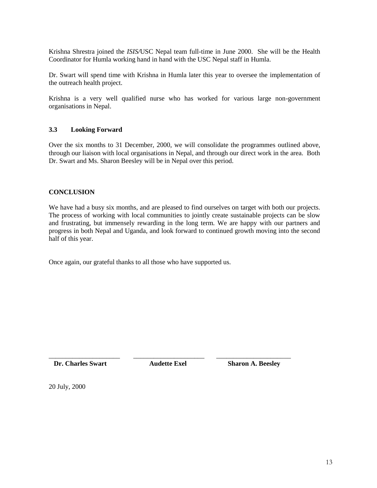Krishna Shrestra joined the *ISIS/*USC Nepal team full-time in June 2000. She will be the Health Coordinator for Humla working hand in hand with the USC Nepal staff in Humla.

Dr. Swart will spend time with Krishna in Humla later this year to oversee the implementation of the outreach health project.

Krishna is a very well qualified nurse who has worked for various large non-government organisations in Nepal.

#### **3.3 Looking Forward**

Over the six months to 31 December, 2000, we will consolidate the programmes outlined above, through our liaison with local organisations in Nepal, and through our direct work in the area. Both Dr. Swart and Ms. Sharon Beesley will be in Nepal over this period.

#### **CONCLUSION**

We have had a busy six months, and are pleased to find ourselves on target with both our projects. The process of working with local communities to jointly create sustainable projects can be slow and frustrating, but immensely rewarding in the long term. We are happy with our partners and progress in both Nepal and Uganda, and look forward to continued growth moving into the second half of this year.

Once again, our grateful thanks to all those who have supported us.

**Dr. Charles Swart Audette Exel Sharon A. Beesley** 

\_\_\_\_\_\_\_\_\_\_\_\_\_\_\_\_\_\_\_\_\_ \_\_\_\_\_\_\_\_\_\_\_\_\_\_\_\_\_\_\_\_\_ \_\_\_\_\_\_\_\_\_\_\_\_\_\_\_\_\_\_\_\_\_\_

20 July, 2000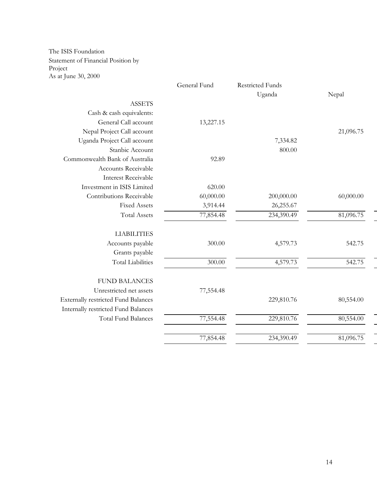The ISIS Foundation Statement of Financial Position by Project As at June 30, 2000

|                                            | General Fund | <b>Restricted Funds</b> |           |
|--------------------------------------------|--------------|-------------------------|-----------|
|                                            |              | Uganda                  | Nepal     |
| <b>ASSETS</b>                              |              |                         |           |
| Cash & cash equivalents:                   |              |                         |           |
| General Call account                       | 13,227.15    |                         |           |
| Nepal Project Call account                 |              |                         | 21,096.75 |
| Uganda Project Call account                |              | 7,334.82                |           |
| Stanbic Account                            |              | 800.00                  |           |
| Commonwealth Bank of Australia             | 92.89        |                         |           |
| Accounts Receivable                        |              |                         |           |
| <b>Interest Receivable</b>                 |              |                         |           |
| Investment in ISIS Limited                 | 620.00       |                         |           |
| Contributions Receivable                   | 60,000.00    | 200,000.00              | 60,000.00 |
| <b>Fixed Assets</b>                        | 3,914.44     | 26,255.67               |           |
| <b>Total Assets</b>                        | 77,854.48    | 234,390.49              | 81,096.75 |
|                                            |              |                         |           |
| <b>LIABILITIES</b>                         |              |                         |           |
| Accounts payable                           | 300.00       | 4,579.73                | 542.75    |
| Grants payable                             |              |                         |           |
| <b>Total Liabilities</b>                   | 300.00       | 4,579.73                | 542.75    |
|                                            |              |                         |           |
| <b>FUND BALANCES</b>                       |              |                         |           |
| Unrestricted net assets                    | 77,554.48    |                         |           |
| <b>Externally restricted Fund Balances</b> |              | 229,810.76              | 80,554.00 |
| Internally restricted Fund Balances        |              |                         |           |
| <b>Total Fund Balances</b>                 | 77,554.48    | 229,810.76              | 80,554.00 |
|                                            |              |                         |           |
|                                            | 77,854.48    | 234,390.49              | 81,096.75 |
|                                            |              |                         |           |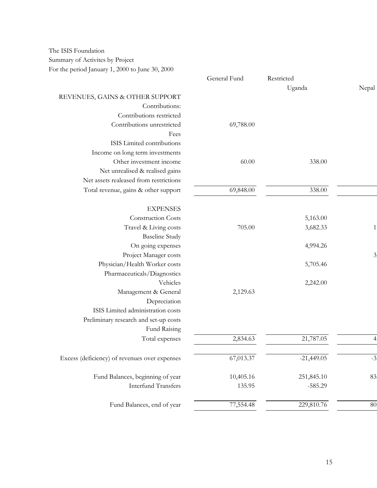The ISIS Foundation Summary of Activites by Project For the period January 1, 2000 to June 30, 2000

|                                               | General Fund | Restricted   |                |
|-----------------------------------------------|--------------|--------------|----------------|
|                                               |              | Uganda       | Nepal          |
| REVENUES, GAINS & OTHER SUPPORT               |              |              |                |
| Contributions:                                |              |              |                |
| Contributions restricted                      |              |              |                |
| Contributions unrestricted                    | 69,788.00    |              |                |
| Fees                                          |              |              |                |
| ISIS Limited contributions                    |              |              |                |
| Income on long term investments               |              |              |                |
| Other investment income                       | 60.00        | 338.00       |                |
| Net unrealised & realised gains               |              |              |                |
| Net assets realeased from restrictions        |              |              |                |
| Total revenue, gains & other support          | 69,848.00    | 338.00       |                |
| <b>EXPENSES</b>                               |              |              |                |
| Construction Costs                            |              | 5,163.00     |                |
| Travel & Living costs                         | 705.00       | 3,682.33     | 1              |
| <b>Baseline Study</b>                         |              |              |                |
| On going expenses                             |              | 4,994.26     |                |
| Project Manager costs                         |              |              | $\mathfrak{Z}$ |
| Physician/Health Worker costs                 |              | 5,705.46     |                |
| Pharmaceuticals/Diagnostics                   |              |              |                |
| Vehicles                                      |              | 2,242.00     |                |
| Management & General                          | 2,129.63     |              |                |
| Depreciation                                  |              |              |                |
| ISIS Limited administration costs             |              |              |                |
| Preliminary research and set-up costs         |              |              |                |
| Fund Raising                                  |              |              |                |
| Total expenses                                | 2,834.63     | 21,787.05    |                |
| Excess (deficiency) of revenues over expenses | 67,013.37    | $-21,449.05$ | $-3$           |
|                                               |              |              |                |
| Fund Balances, beginning of year              | 10,405.16    | 251,845.10   | 83             |
| <b>Interfund Transfers</b>                    | 135.95       | $-585.29$    |                |
| Fund Balances, end of year                    | 77,554.48    | 229,810.76   | 80             |
|                                               |              |              |                |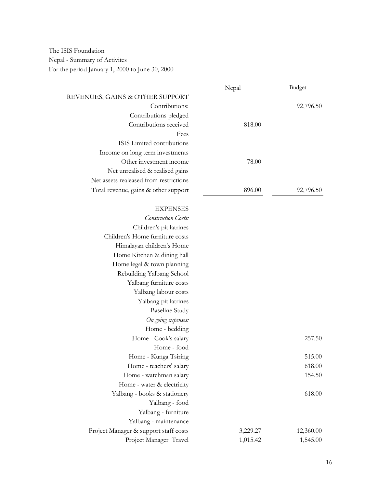The ISIS Foundation Nepal - Summary of Activites For the period January 1, 2000 to June 30, 2000

# Nepal Budget REVENUES, GAINS & OTHER SUPPORT Contributions: 92,796.50 Contributions pledged Contributions received 818.00 Fees ISIS Limited contributions Income on long term investments Other investment income 78.00 Net unrealised & realised gains Net assets realeased from restrictions Total revenue, gains & other support 896.00 92,796.50 **EXPENSES** *Construction Costs:* Children's pit latrines Children's Home furniture costs Himalayan children's Home Home Kitchen & dining hall Home legal & town planning Rebuilding Yalbang School Yalbang furniture costs Yalbang labour costs Yalbang pit latrines Baseline Study *On going expenses:* Home - bedding Home - Cook's salary 257.50 Home - food Home - Kunga Tsiring 515.00 Home - teachers' salary 618.00 Home - watchman salary 154.50 Home - water & electricity Yalbang - books & stationery 618.00 Yalbang - food Yalbang - furniture Yalbang - maintenance Project Manager & support staff costs 3,229.27 12,360.00 Project Manager Travel 1,015.42 1,545.00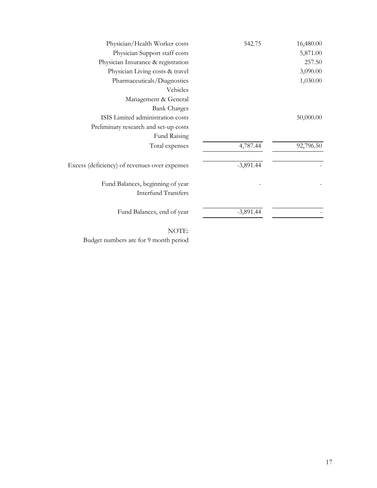| Physician/Health Worker costs                 | 542.75      | 16,480.00 |  |
|-----------------------------------------------|-------------|-----------|--|
| Physician Support staff costs                 |             | 5,871.00  |  |
| Physician Insurance & registration            |             | 257.50    |  |
| Physician Living costs & travel               |             | 3,090.00  |  |
| Pharmaceuticals/Diagnostics                   |             | 1,030.00  |  |
| Vehicles                                      |             |           |  |
| Management & General                          |             |           |  |
| <b>Bank Charges</b>                           |             |           |  |
| ISIS Limited administration costs             |             | 50,000.00 |  |
| Preliminary research and set-up costs         |             |           |  |
| Fund Raising                                  |             |           |  |
| Total expenses                                | 4,787.44    | 92,796.50 |  |
| Excess (deficiency) of revenues over expenses | $-3,891.44$ |           |  |
| Fund Balances, beginning of year              |             |           |  |
| <b>Interfund Transfers</b>                    |             |           |  |
| Fund Balances, end of year                    | $-3,891.44$ |           |  |
|                                               |             |           |  |

NOTE: Budget numbers are for 9 month period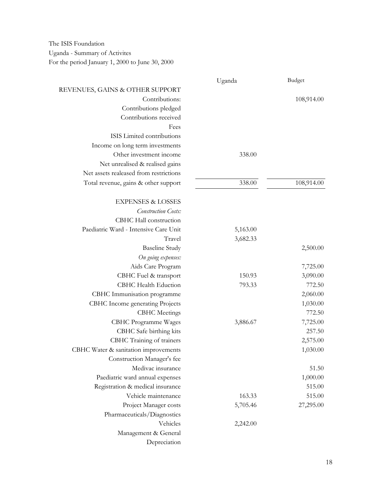The ISIS Foundation Uganda - Summary of Activites For the period January 1, 2000 to June 30, 2000

|                                        | Uganda   | <b>Budget</b> |
|----------------------------------------|----------|---------------|
| REVENUES, GAINS & OTHER SUPPORT        |          |               |
| Contributions:                         |          | 108,914.00    |
| Contributions pledged                  |          |               |
| Contributions received                 |          |               |
| Fees                                   |          |               |
| ISIS Limited contributions             |          |               |
| Income on long term investments        |          |               |
| Other investment income                | 338.00   |               |
| Net unrealised & realised gains        |          |               |
| Net assets realeased from restrictions |          |               |
| Total revenue, gains & other support   | 338.00   | 108,914.00    |
| <b>EXPENSES &amp; LOSSES</b>           |          |               |
| <b>Construction Costs:</b>             |          |               |
| CBHC Hall construction                 |          |               |
| Paediatric Ward - Intensive Care Unit  | 5,163.00 |               |
| Travel                                 | 3,682.33 |               |
| <b>Baseline Study</b>                  |          | 2,500.00      |
| On going expenses:                     |          |               |
| Aids Care Program                      |          | 7,725.00      |
| CBHC Fuel & transport                  | 150.93   | 3,090.00      |
| CBHC Health Eduction                   | 793.33   | 772.50        |
| CBHC Immunisation programme            |          | 2,060.00      |
| CBHC Income generating Projects        |          | 1,030.00      |
| <b>CBHC</b> Meetings                   |          | 772.50        |
| CBHC Programme Wages                   | 3,886.67 | 7,725.00      |
| CBHC Safe birthing kits                |          | 257.50        |
| CBHC Training of trainers              |          | 2,575.00      |
| CBHC Water & sanitation improvements   |          | 1,030.00      |
| Construction Manager's fee             |          |               |
| Medivac insurance                      |          | 51.50         |
| Paediatric ward annual expenses        |          | 1,000.00      |
| Registration & medical insurance       |          | 515.00        |
| Vehicle maintenance                    | 163.33   | 515.00        |
| Project Manager costs                  | 5,705.46 | 27,295.00     |
| Pharmaceuticals/Diagnostics            |          |               |
| Vehicles                               | 2,242.00 |               |
| Management & General                   |          |               |
| Depreciation                           |          |               |